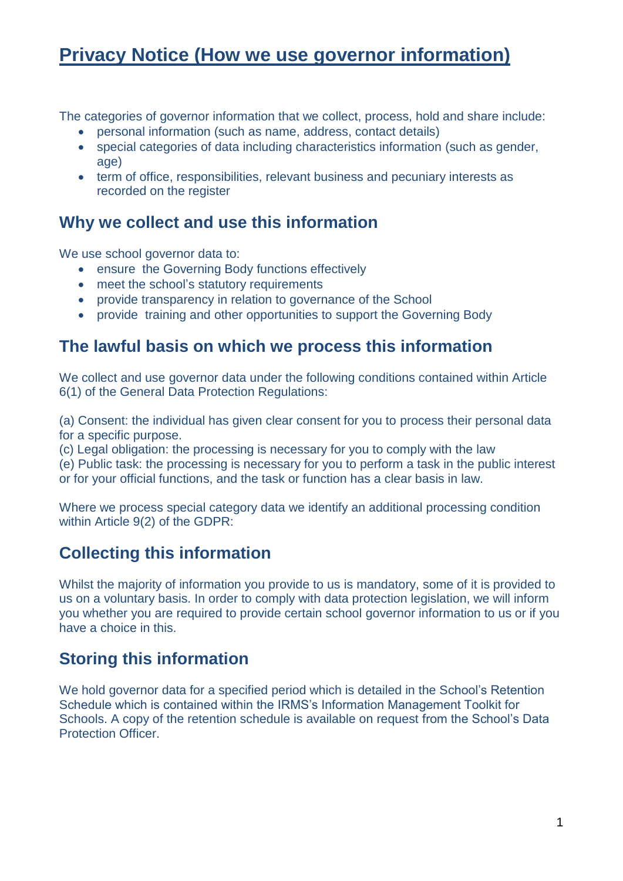# **Privacy Notice (How we use governor information)**

The categories of governor information that we collect, process, hold and share include:

- personal information (such as name, address, contact details)
- special categories of data including characteristics information (such as gender, age)
- term of office, responsibilities, relevant business and pecuniary interests as recorded on the register

#### **Why we collect and use this information**

We use school governor data to:

- **•** ensure the Governing Body functions effectively
- meet the school's statutory requirements
- provide transparency in relation to governance of the School
- provide training and other opportunities to support the Governing Body

#### **The lawful basis on which we process this information**

We collect and use governor data under the following conditions contained within Article 6(1) of the General Data Protection Regulations:

(a) Consent: the individual has given clear consent for you to process their personal data for a specific purpose.

(c) Legal obligation: the processing is necessary for you to comply with the law

(e) Public task: the processing is necessary for you to perform a task in the public interest or for your official functions, and the task or function has a clear basis in law.

Where we process special category data we identify an additional processing condition within Article 9(2) of the GDPR:

### **Collecting this information**

Whilst the majority of information you provide to us is mandatory, some of it is provided to us on a voluntary basis. In order to comply with data protection legislation, we will inform you whether you are required to provide certain school governor information to us or if you have a choice in this.

### **Storing this information**

We hold governor data for a specified period which is detailed in the School's Retention Schedule which is contained within the IRMS's Information Management Toolkit for Schools. A copy of the retention schedule is available on request from the School's Data Protection Officer.